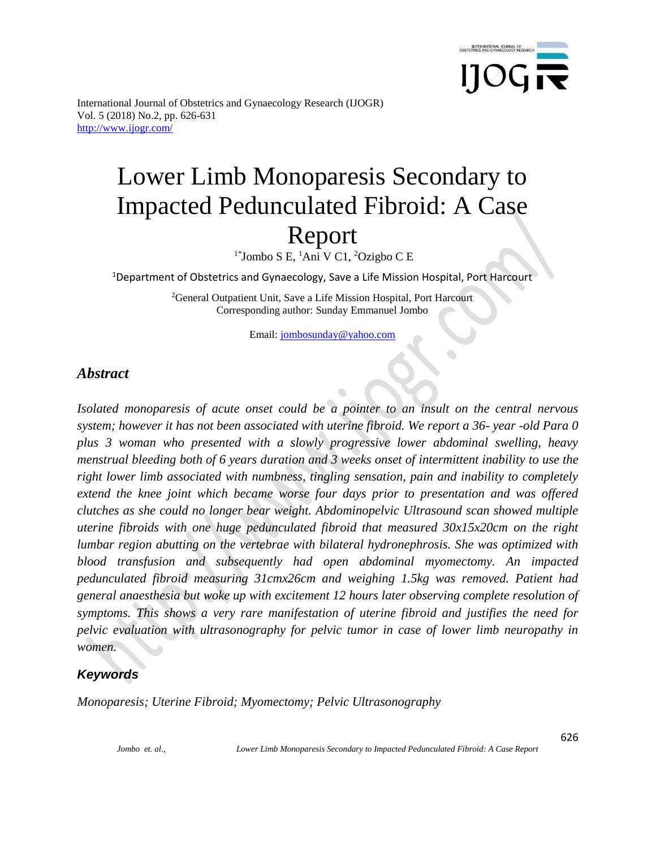

# Lower Limb Monoparesis Secondary to Impacted Pedunculated Fibroid: A Case Report

 $1^*$ Jombo S E,  $^1$ Ani V C1,  $^2$ Ozigbo C E

<sup>1</sup>Department of Obstetrics and Gynaecology, Save a Life Mission Hospital, Port Harcourt

<sup>2</sup>General Outpatient Unit, Save a Life Mission Hospital, Port Harcourt Corresponding author: Sunday Emmanuel Jombo

Email: [jombosunday@yahoo.com](mailto:jombosunday@yahoo.com)

### *Abstract*

*Isolated monoparesis of acute onset could be a pointer to an insult on the central nervous system; however it has not been associated with uterine fibroid. We report a 36- year -old Para 0 plus 3 woman who presented with a slowly progressive lower abdominal swelling, heavy menstrual bleeding both of 6 years duration and 3 weeks onset of intermittent inability to use the right lower limb associated with numbness, tingling sensation, pain and inability to completely extend the knee joint which became worse four days prior to presentation and was offered clutches as she could no longer bear weight. Abdominopelvic Ultrasound scan showed multiple uterine fibroids with one huge pedunculated fibroid that measured 30x15x20cm on the right lumbar region abutting on the vertebrae with bilateral hydronephrosis. She was optimized with blood transfusion and subsequently had open abdominal myomectomy. An impacted pedunculated fibroid measuring 31cmx26cm and weighing 1.5kg was removed. Patient had general anaesthesia but woke up with excitement 12 hours later observing complete resolution of symptoms. This shows a very rare manifestation of uterine fibroid and justifies the need for pelvic evaluation with ultrasonography for pelvic tumor in case of lower limb neuropathy in women.* 

#### *Keywords*

*Monoparesis; Uterine Fibroid; Myomectomy; Pelvic Ultrasonography*

*Jombo et. al., Lower Limb Monoparesis Secondary to Impacted Pedunculated Fibroid: A Case Report*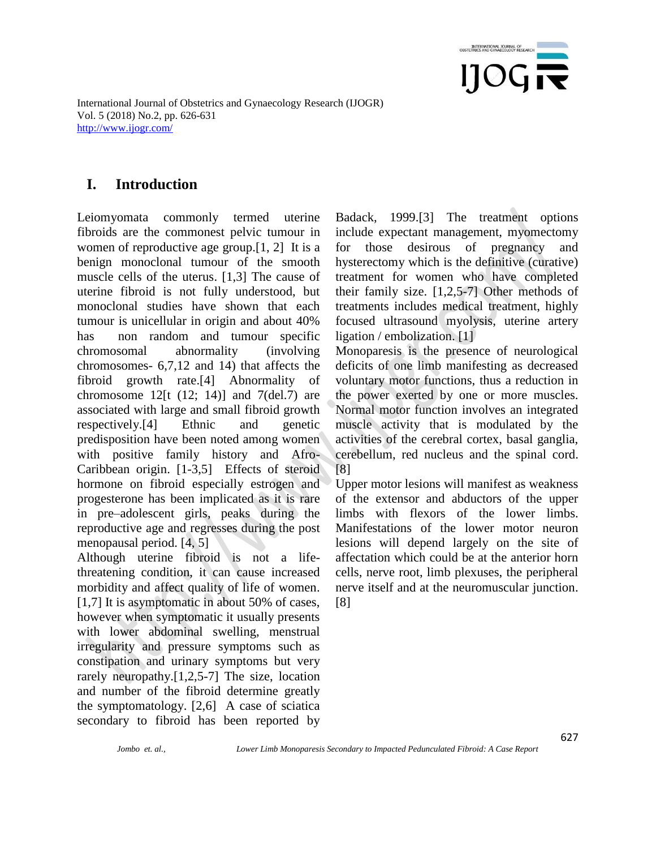

## **I. Introduction**

Leiomyomata commonly termed uterine fibroids are the commonest pelvic tumour in women of reproductive age group.[1, 2] It is a benign monoclonal tumour of the smooth muscle cells of the uterus. [1,3] The cause of uterine fibroid is not fully understood, but monoclonal studies have shown that each tumour is unicellular in origin and about 40% has non random and tumour specific chromosomal abnormality (involving chromosomes- 6,7,12 and 14) that affects the fibroid growth rate.[4] Abnormality of chromosome  $12[t (12; 14)]$  and  $7(det.7)$  are associated with large and small fibroid growth respectively.[4] Ethnic and genetic predisposition have been noted among women with positive family history and Afro-Caribbean origin. [1-3,5] Effects of steroid hormone on fibroid especially estrogen and progesterone has been implicated as it is rare in pre–adolescent girls, peaks during the reproductive age and regresses during the post menopausal period. [4, 5]

Although uterine fibroid is not a lifethreatening condition, it can cause increased morbidity and affect quality of life of women. [1,7] It is asymptomatic in about 50% of cases, however when symptomatic it usually presents with lower abdominal swelling, menstrual irregularity and pressure symptoms such as constipation and urinary symptoms but very rarely neuropathy.[1,2,5-7] The size, location and number of the fibroid determine greatly the symptomatology. [2,6] A case of sciatica secondary to fibroid has been reported by

Badack, 1999.[3] The treatment options include expectant management, myomectomy for those desirous of pregnancy and hysterectomy which is the definitive (curative) treatment for women who have completed their family size. [1,2,5-7] Other methods of treatments includes medical treatment, highly focused ultrasound myolysis, uterine artery ligation / embolization. [1]

Monoparesis is the presence of neurological deficits of one limb manifesting as decreased voluntary motor functions, thus a reduction in the power exerted by one or more muscles. Normal motor function involves an integrated muscle activity that is modulated by the activities of the cerebral cortex, basal ganglia, cerebellum, red nucleus and the spinal cord. [8]

Upper motor lesions will manifest as weakness of the extensor and abductors of the upper limbs with flexors of the lower limbs. Manifestations of the lower motor neuron lesions will depend largely on the site of affectation which could be at the anterior horn cells, nerve root, limb plexuses, the peripheral nerve itself and at the neuromuscular junction. [8]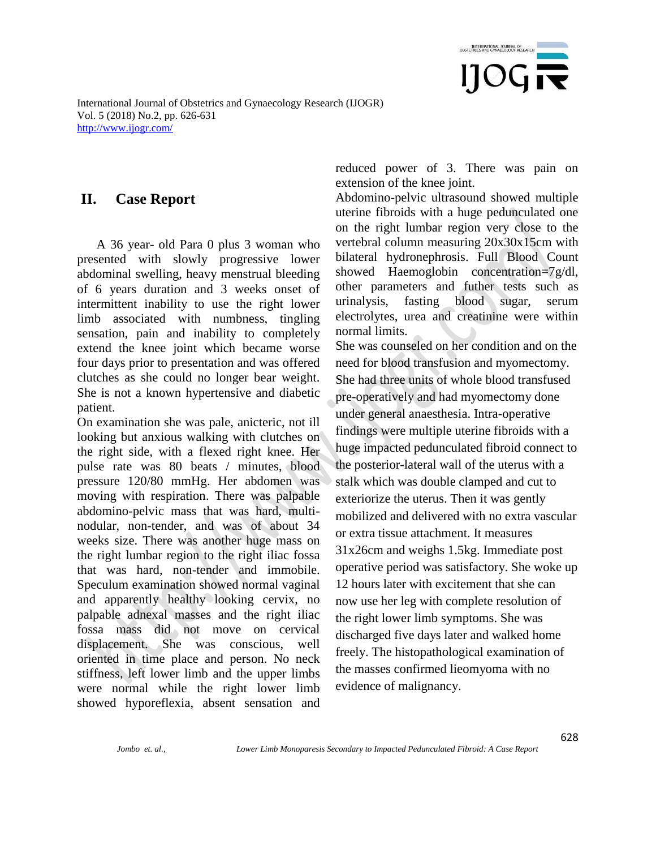

## **II. Case Report**

 A 36 year- old Para 0 plus 3 woman who presented with slowly progressive lower abdominal swelling, heavy menstrual bleeding of 6 years duration and 3 weeks onset of intermittent inability to use the right lower limb associated with numbness, tingling sensation, pain and inability to completely extend the knee joint which became worse four days prior to presentation and was offered clutches as she could no longer bear weight. She is not a known hypertensive and diabetic patient.

On examination she was pale, anicteric, not ill looking but anxious walking with clutches on the right side, with a flexed right knee. Her pulse rate was 80 beats / minutes, blood pressure 120/80 mmHg. Her abdomen was moving with respiration. There was palpable abdomino-pelvic mass that was hard, multinodular, non-tender, and was of about 34 weeks size. There was another huge mass on the right lumbar region to the right iliac fossa that was hard, non-tender and immobile. Speculum examination showed normal vaginal and apparently healthy looking cervix, no palpable adnexal masses and the right iliac fossa mass did not move on cervical displacement. She was conscious, well oriented in time place and person. No neck stiffness, left lower limb and the upper limbs were normal while the right lower limb showed hyporeflexia, absent sensation and

reduced power of 3. There was pain on extension of the knee joint.

Abdomino-pelvic ultrasound showed multiple uterine fibroids with a huge pedunculated one on the right lumbar region very close to the vertebral column measuring 20x30x15cm with bilateral hydronephrosis. Full Blood Count showed Haemoglobin concentration=7g/dl, other parameters and futher tests such as urinalysis, fasting blood sugar, serum electrolytes, urea and creatinine were within normal limits.

She was counseled on her condition and on the need for blood transfusion and myomectomy. She had three units of whole blood transfused pre-operatively and had myomectomy done under general anaesthesia. Intra-operative findings were multiple uterine fibroids with a huge impacted pedunculated fibroid connect to the posterior-lateral wall of the uterus with a stalk which was double clamped and cut to exteriorize the uterus. Then it was gently mobilized and delivered with no extra vascular or extra tissue attachment. It measures 31x26cm and weighs 1.5kg. Immediate post operative period was satisfactory. She woke up 12 hours later with excitement that she can now use her leg with complete resolution of the right lower limb symptoms. She was discharged five days later and walked home freely. The histopathological examination of the masses confirmed lieomyoma with no evidence of malignancy.

628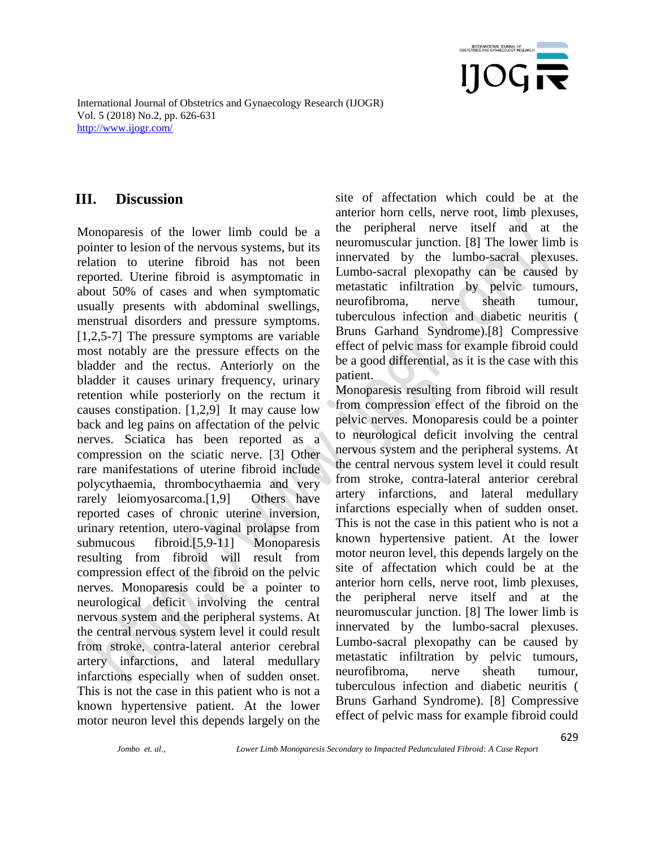

## **III. Discussion**

Monoparesis of the lower limb could be a pointer to lesion of the nervous systems, but its relation to uterine fibroid has not been reported. Uterine fibroid is asymptomatic in about 50% of cases and when symptomatic usually presents with abdominal swellings, menstrual disorders and pressure symptoms. [1,2,5-7] The pressure symptoms are variable most notably are the pressure effects on the bladder and the rectus. Anteriorly on the bladder it causes urinary frequency, urinary retention while posteriorly on the rectum it causes constipation. [1,2,9] It may cause low back and leg pains on affectation of the pelvic nerves. Sciatica has been reported as a compression on the sciatic nerve. [3] Other rare manifestations of uterine fibroid include polycythaemia, thrombocythaemia and very rarely leiomyosarcoma.[1,9] Others have reported cases of chronic uterine inversion, urinary retention, utero-vaginal prolapse from submucous fibroid.[5,9-11] Monoparesis resulting from fibroid will result from compression effect of the fibroid on the pelvic nerves. Monoparesis could be a pointer to neurological deficit involving the central nervous system and the peripheral systems. At the central nervous system level it could result from stroke, contra-lateral anterior cerebral artery infarctions, and lateral medullary infarctions especially when of sudden onset. This is not the case in this patient who is not a known hypertensive patient. At the lower motor neuron level this depends largely on the site of affectation which could be at the anterior horn cells, nerve root, limb plexuses, the peripheral nerve itself and at the neuromuscular junction. [8] The lower limb is innervated by the lumbo-sacral plexuses. Lumbo-sacral plexopathy can be caused by metastatic infiltration by pelvic tumours, neurofibroma, nerve sheath tumour, tuberculous infection and diabetic neuritis ( Bruns Garhand Syndrome).[8] Compressive effect of pelvic mass for example fibroid could be a good differential, as it is the case with this patient.

Monoparesis resulting from fibroid will result from compression effect of the fibroid on the pelvic nerves. Monoparesis could be a pointer to neurological deficit involving the central nervous system and the peripheral systems. At the central nervous system level it could result from stroke, contra-lateral anterior cerebral artery infarctions, and lateral medullary infarctions especially when of sudden onset. This is not the case in this patient who is not a known hypertensive patient. At the lower motor neuron level, this depends largely on the site of affectation which could be at the anterior horn cells, nerve root, limb plexuses, the peripheral nerve itself and at the neuromuscular junction. [8] The lower limb is innervated by the lumbo-sacral plexuses. Lumbo-sacral plexopathy can be caused by metastatic infiltration by pelvic tumours, neurofibroma, nerve sheath tumour, tuberculous infection and diabetic neuritis ( Bruns Garhand Syndrome). [8] Compressive effect of pelvic mass for example fibroid could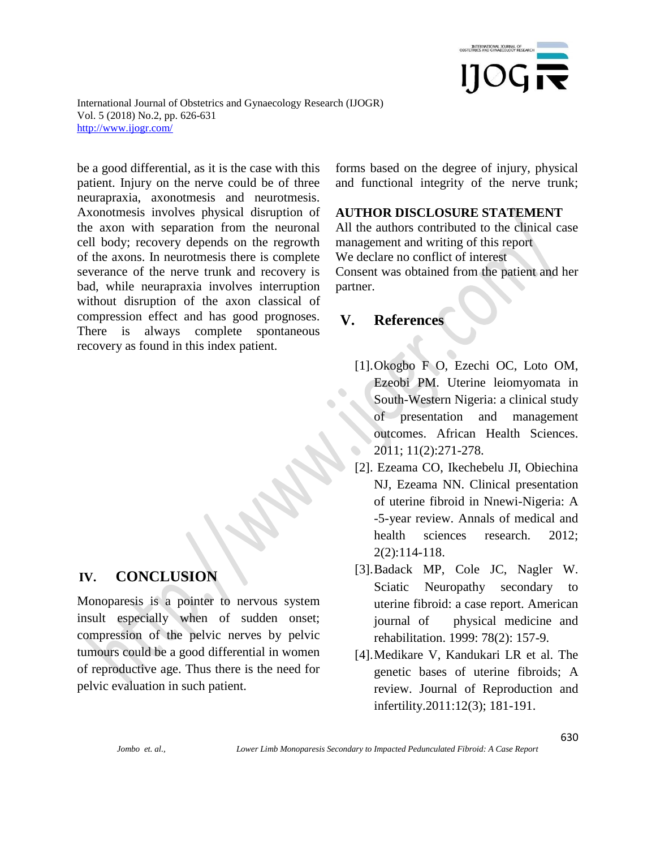

be a good differential, as it is the case with this patient. Injury on the nerve could be of three neurapraxia, axonotmesis and neurotmesis. Axonotmesis involves physical disruption of the axon with separation from the neuronal cell body; recovery depends on the regrowth of the axons. In neurotmesis there is complete severance of the nerve trunk and recovery is bad, while neurapraxia involves interruption without disruption of the axon classical of compression effect and has good prognoses. There is always complete spontaneous recovery as found in this index patient.

#### **IV. CONCLUSION**

Monoparesis is a pointer to nervous system insult especially when of sudden onset; compression of the pelvic nerves by pelvic tumours could be a good differential in women of reproductive age. Thus there is the need for pelvic evaluation in such patient.

forms based on the degree of injury, physical and functional integrity of the nerve trunk;

#### **AUTHOR DISCLOSURE STATEMENT**

All the authors contributed to the clinical case management and writing of this report We declare no conflict of interest Consent was obtained from the patient and her partner.

## **V. References**

- [1].Okogbo F O, Ezechi OC, Loto OM, Ezeobi PM. Uterine leiomyomata in South-Western Nigeria: a clinical study of presentation and management outcomes. African Health Sciences. 2011; 11(2):271-278.
- [2]. Ezeama CO, Ikechebelu JI, Obiechina NJ, Ezeama NN. Clinical presentation of uterine fibroid in Nnewi-Nigeria: A -5-year review. Annals of medical and health sciences research. 2012; 2(2):114-118.
- [3].Badack MP, Cole JC, Nagler W. Sciatic Neuropathy secondary to uterine fibroid: a case report. American journal of physical medicine and rehabilitation. 1999: 78(2): 157-9.
- [4].Medikare V, Kandukari LR et al. The genetic bases of uterine fibroids; A review. Journal of Reproduction and infertility.2011:12(3); 181-191.